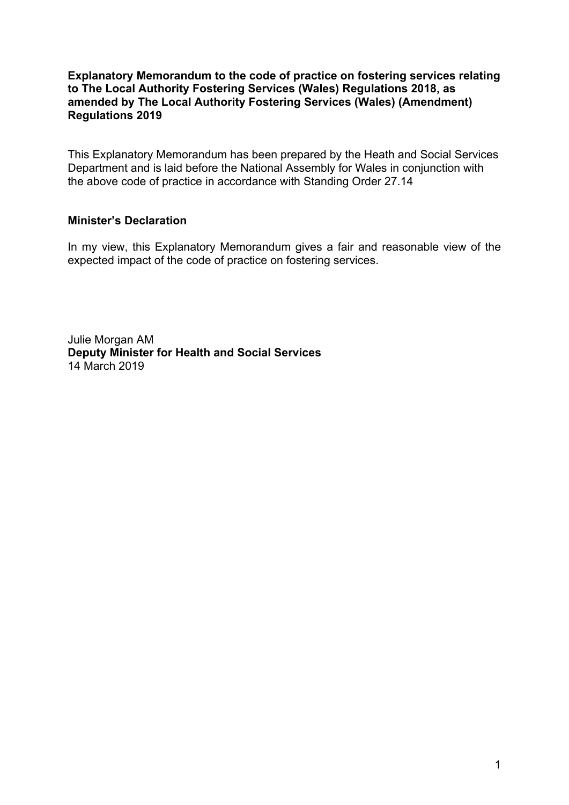#### **Explanatory Memorandum to the code of practice on fostering services relating to The Local Authority Fostering Services (Wales) Regulations 2018, as amended by The Local Authority Fostering Services (Wales) (Amendment) Regulations 2019**

This Explanatory Memorandum has been prepared by the Heath and Social Services Department and is laid before the National Assembly for Wales in conjunction with the above code of practice in accordance with Standing Order 27.14

#### **Minister's Declaration**

In my view, this Explanatory Memorandum gives a fair and reasonable view of the expected impact of the code of practice on fostering services.

Julie Morgan AM **Deputy Minister for Health and Social Services** 14 March 2019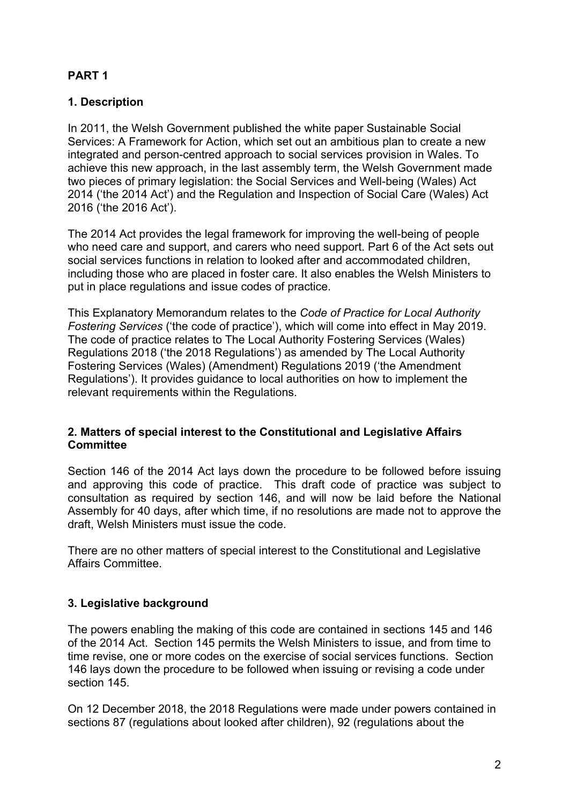# **PART 1**

# **1. Description**

In 2011, the Welsh Government published the white paper Sustainable Social Services: A Framework for Action, which set out an ambitious plan to create a new integrated and person-centred approach to social services provision in Wales. To achieve this new approach, in the last assembly term, the Welsh Government made two pieces of primary legislation: the Social Services and Well-being (Wales) Act 2014 ('the 2014 Act') and the Regulation and Inspection of Social Care (Wales) Act 2016 ('the 2016 Act').

The 2014 Act provides the legal framework for improving the well-being of people who need care and support, and carers who need support. Part 6 of the Act sets out social services functions in relation to looked after and accommodated children, including those who are placed in foster care. It also enables the Welsh Ministers to put in place regulations and issue codes of practice.

This Explanatory Memorandum relates to the *Code of Practice for Local Authority Fostering Services* ('the code of practice'), which will come into effect in May 2019. The code of practice relates to The Local Authority Fostering Services (Wales) Regulations 2018 ('the 2018 Regulations') as amended by The Local Authority Fostering Services (Wales) (Amendment) Regulations 2019 ('the Amendment Regulations'). It provides guidance to local authorities on how to implement the relevant requirements within the Regulations.

#### **2. Matters of special interest to the Constitutional and Legislative Affairs Committee**

Section 146 of the 2014 Act lays down the procedure to be followed before issuing and approving this code of practice. This draft code of practice was subject to consultation as required by section 146, and will now be laid before the National Assembly for 40 days, after which time, if no resolutions are made not to approve the draft, Welsh Ministers must issue the code.

There are no other matters of special interest to the Constitutional and Legislative Affairs Committee.

# **3. Legislative background**

The powers enabling the making of this code are contained in sections 145 and 146 of the 2014 Act. Section 145 permits the Welsh Ministers to issue, and from time to time revise, one or more codes on the exercise of social services functions. Section 146 lays down the procedure to be followed when issuing or revising a code under section 145.

On 12 December 2018, the 2018 Regulations were made under powers contained in sections 87 (regulations about looked after children), 92 (regulations about the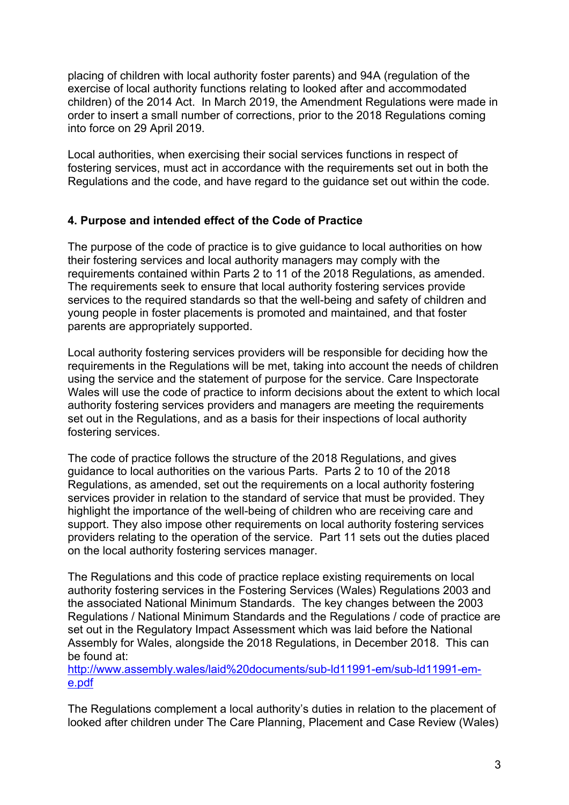placing of children with local authority foster parents) and 94A (regulation of the exercise of local authority functions relating to looked after and accommodated children) of the 2014 Act. In March 2019, the Amendment Regulations were made in order to insert a small number of corrections, prior to the 2018 Regulations coming into force on 29 April 2019.

Local authorities, when exercising their social services functions in respect of fostering services, must act in accordance with the requirements set out in both the Regulations and the code, and have regard to the guidance set out within the code.

### **4. Purpose and intended effect of the Code of Practice**

The purpose of the code of practice is to give guidance to local authorities on how their fostering services and local authority managers may comply with the requirements contained within Parts 2 to 11 of the 2018 Regulations, as amended. The requirements seek to ensure that local authority fostering services provide services to the required standards so that the well-being and safety of children and young people in foster placements is promoted and maintained, and that foster parents are appropriately supported.

Local authority fostering services providers will be responsible for deciding how the requirements in the Regulations will be met, taking into account the needs of children using the service and the statement of purpose for the service. Care Inspectorate Wales will use the code of practice to inform decisions about the extent to which local authority fostering services providers and managers are meeting the requirements set out in the Regulations, and as a basis for their inspections of local authority fostering services.

The code of practice follows the structure of the 2018 Regulations, and gives guidance to local authorities on the various Parts. Parts 2 to 10 of the 2018 Regulations, as amended, set out the requirements on a local authority fostering services provider in relation to the standard of service that must be provided. They highlight the importance of the well-being of children who are receiving care and support. They also impose other requirements on local authority fostering services providers relating to the operation of the service. Part 11 sets out the duties placed on the local authority fostering services manager.

The Regulations and this code of practice replace existing requirements on local authority fostering services in the Fostering Services (Wales) Regulations 2003 and the associated National Minimum Standards. The key changes between the 2003 Regulations / National Minimum Standards and the Regulations / code of practice are set out in the Regulatory Impact Assessment which was laid before the National Assembly for Wales, alongside the 2018 Regulations, in December 2018. This can be found at:

[http://www.assembly.wales/laid%20documents/sub-ld11991-em/sub-ld11991-em](http://www.assembly.wales/laid%20documents/sub-ld11991-em/sub-ld11991-em-e.pdf)[e.pdf](http://www.assembly.wales/laid%20documents/sub-ld11991-em/sub-ld11991-em-e.pdf)

The Regulations complement a local authority's duties in relation to the placement of looked after children under The Care Planning, Placement and Case Review (Wales)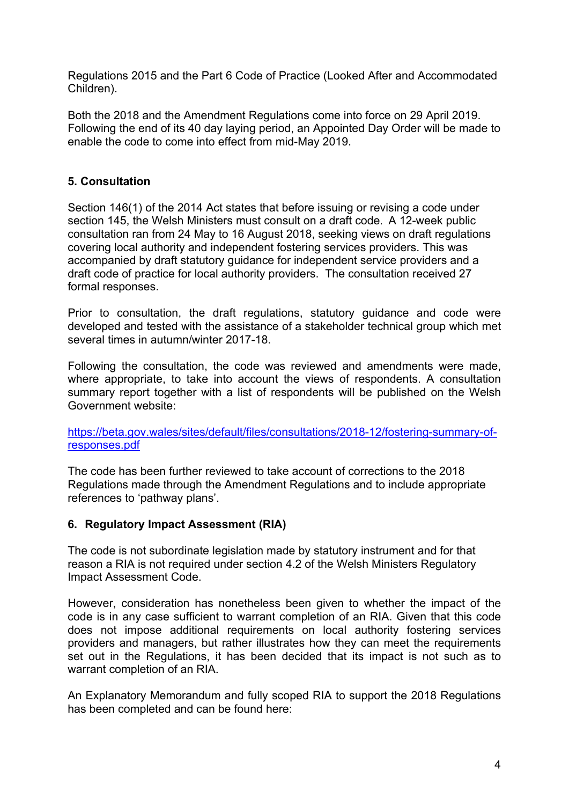Regulations 2015 and the Part 6 Code of Practice (Looked After and Accommodated Children).

Both the 2018 and the Amendment Regulations come into force on 29 April 2019. Following the end of its 40 day laying period, an Appointed Day Order will be made to enable the code to come into effect from mid-May 2019.

### **5. Consultation**

Section 146(1) of the 2014 Act states that before issuing or revising a code under section 145, the Welsh Ministers must consult on a draft code. A 12-week public consultation ran from 24 May to 16 August 2018, seeking views on draft regulations covering local authority and independent fostering services providers. This was accompanied by draft statutory guidance for independent service providers and a draft code of practice for local authority providers. The consultation received 27 formal responses.

Prior to consultation, the draft regulations, statutory guidance and code were developed and tested with the assistance of a stakeholder technical group which met several times in autumn/winter 2017-18.

Following the consultation, the code was reviewed and amendments were made, where appropriate, to take into account the views of respondents. A consultation summary report together with a list of respondents will be published on the Welsh Government website:

[https://beta.gov.wales/sites/default/files/consultations/2018-12/fostering-summary-of](https://beta.gov.wales/sites/default/files/consultations/2018-12/fostering-summary-of-responses.pdf)[responses.pdf](https://beta.gov.wales/sites/default/files/consultations/2018-12/fostering-summary-of-responses.pdf)

The code has been further reviewed to take account of corrections to the 2018 Regulations made through the Amendment Regulations and to include appropriate references to 'pathway plans'.

### **6. Regulatory Impact Assessment (RIA)**

The code is not subordinate legislation made by statutory instrument and for that reason a RIA is not required under section 4.2 of the Welsh Ministers Regulatory Impact Assessment Code.

However, consideration has nonetheless been given to whether the impact of the code is in any case sufficient to warrant completion of an RIA. Given that this code does not impose additional requirements on local authority fostering services providers and managers, but rather illustrates how they can meet the requirements set out in the Regulations, it has been decided that its impact is not such as to warrant completion of an RIA.

An Explanatory Memorandum and fully scoped RIA to support the 2018 Regulations has been completed and can be found here: